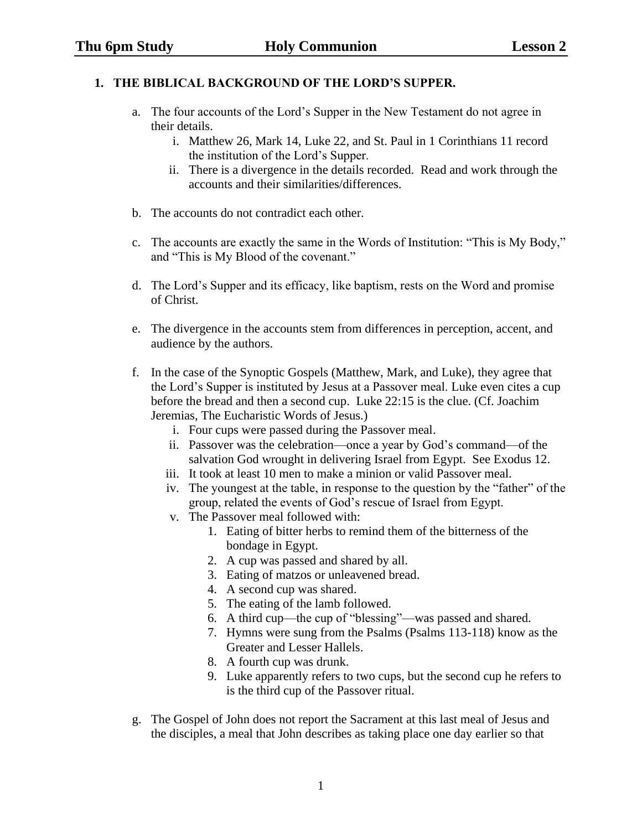## **1. THE BIBLICAL BACKGROUND OF THE LORD'S SUPPER.**

- a. The four accounts of the Lord's Supper in the New Testament do not agree in their details.
	- i. Matthew 26, Mark 14, Luke 22, and St. Paul in 1 Corinthians 11 record the institution of the Lord's Supper.
	- ii. There is a divergence in the details recorded. Read and work through the accounts and their similarities/differences.
- b. The accounts do not contradict each other.
- c. The accounts are exactly the same in the Words of Institution: "This is My Body," and "This is My Blood of the covenant."
- d. The Lord's Supper and its efficacy, like baptism, rests on the Word and promise of Christ.
- e. The divergence in the accounts stem from differences in perception, accent, and audience by the authors.
- f. In the case of the Synoptic Gospels (Matthew, Mark, and Luke), they agree that the Lord's Supper is instituted by Jesus at a Passover meal. Luke even cites a cup before the bread and then a second cup. Luke 22:15 is the clue. (Cf. Joachim Jeremias, The Eucharistic Words of Jesus.)
	- i. Four cups were passed during the Passover meal.
	- ii. Passover was the celebration—once a year by God's command—of the salvation God wrought in delivering Israel from Egypt. See Exodus 12.
	- iii. It took at least 10 men to make a minion or valid Passover meal.
	- iv. The youngest at the table, in response to the question by the "father" of the group, related the events of God's rescue of Israel from Egypt.
	- v. The Passover meal followed with:
		- 1. Eating of bitter herbs to remind them of the bitterness of the bondage in Egypt.
		- 2. A cup was passed and shared by all.
		- 3. Eating of matzos or unleavened bread.
		- 4. A second cup was shared.
		- 5. The eating of the lamb followed.
		- 6. A third cup—the cup of "blessing"—was passed and shared.
		- 7. Hymns were sung from the Psalms (Psalms 113-118) know as the Greater and Lesser Hallels.
		- 8. A fourth cup was drunk.
		- 9. Luke apparently refers to two cups, but the second cup he refers to is the third cup of the Passover ritual.
- g. The Gospel of John does not report the Sacrament at this last meal of Jesus and the disciples, a meal that John describes as taking place one day earlier so that